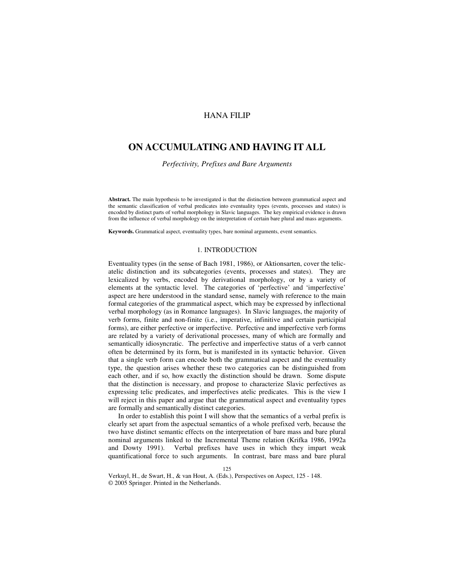# **ON ACCUMULATING AND HAVING IT ALL**

*Perfectivity, Prefixes and Bare Arguments*

**Abstract.** The main hypothesis to be investigated is that the distinction between grammatical aspect and the semantic classification of verbal predicates into eventuality types (events, processes and states) is encoded by distinct parts of verbal morphology in Slavic languages. The key empirical evidence is drawn from the influence of verbal morphology on the interpretation of certain bare plural and mass arguments.

**Keywords.** Grammatical aspect, eventuality types, bare nominal arguments, event semantics.

## 1. INTRODUCTION

Eventuality types (in the sense of Bach 1981, 1986), or Aktionsarten, cover the telicatelic distinction and its subcategories (events, processes and states). They are lexicalized by verbs, encoded by derivational morphology, or by a variety of elements at the syntactic level. The categories of 'perfective' and 'imperfective' aspect are here understood in the standard sense, namely with reference to the main formal categories of the grammatical aspect, which may be expressed by inflectional verbal morphology (as in Romance languages). In Slavic languages, the majority of verb forms, finite and non-finite (i.e., imperative, infinitive and certain participial forms), are either perfective or imperfective. Perfective and imperfective verb forms are related by a variety of derivational processes, many of which are formally and semantically idiosyncratic. The perfective and imperfective status of a verb cannot often be determined by its form, but is manifested in its syntactic behavior. Given that a single verb form can encode both the grammatical aspect and the eventuality type, the question arises whether these two categories can be distinguished from each other, and if so, how exactly the distinction should be drawn. Some dispute that the distinction is necessary, and propose to characterize Slavic perfectives as expressing telic predicates, and imperfectives atelic predicates. This is the view I will reject in this paper and argue that the grammatical aspect and eventuality types are formally and semantically distinct categories.

In order to establish this point I will show that the semantics of a verbal prefix is clearly set apart from the aspectual semantics of a whole prefixed verb, because the two have distinct semantic effects on the interpretation of bare mass and bare plural nominal arguments linked to the Incremental Theme relation (Krifka 1986, 1992a and Dowty 1991). Verbal prefixes have uses in which they impart weak quantificational force to such arguments. In contrast, bare mass and bare plural

125

Verkuyl, H., de Swart, H., & van Hout, A. (Eds.), Perspectives on Aspect, 125 - 148. © 2005 Springer. Printed in the Netherlands.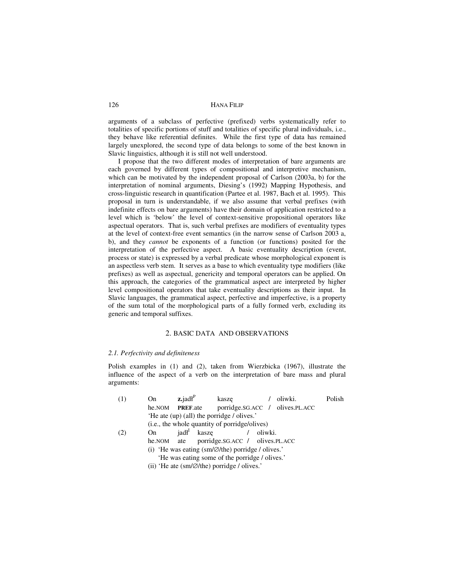arguments of a subclass of perfective (prefixed) verbs systematically refer to totalities of specific portions of stuff and totalities of specific plural individuals, i.e., they behave like referential definites. While the first type of data has remained largely unexplored, the second type of data belongs to some of the best known in Slavic linguistics, although it is still not well understood.

I propose that the two different modes of interpretation of bare arguments are each governed by different types of compositional and interpretive mechanism, which can be motivated by the independent proposal of Carlson (2003a, b) for the interpretation of nominal arguments, Diesing's (1992) Mapping Hypothesis, and cross-linguistic research in quantification (Partee et al. 1987, Bach et al. 1995). This proposal in turn is understandable, if we also assume that verbal prefixes (with indefinite effects on bare arguments) have their domain of application restricted to a level which is 'below' the level of context-sensitive propositional operators like aspectual operators. That is, such verbal prefixes are modifiers of eventuality types at the level of context-free event semantics (in the narrow sense of Carlson 2003 a, b), and they *cannot* be exponents of a function (or functions) posited for the interpretation of the perfective aspect. A basic eventuality description (event, process or state) is expressed by a verbal predicate whose morphological exponent is an aspectless verb stem. It serves as a base to which eventuality type modifiers (like prefixes) as well as aspectual, genericity and temporal operators can be applied. On this approach, the categories of the grammatical aspect are interpreted by higher level compositional operators that take eventuality descriptions as their input. In Slavic languages, the grammatical aspect, perfective and imperfective, is a property of the sum total of the morphological parts of a fully formed verb, excluding its generic and temporal suffixes.

## 2. BASIC DATA AND OBSERVATIONS

#### *2.1. Perfectivity and definiteness*

Polish examples in (1) and (2), taken from Wierzbicka (1967), illustrate the influence of the aspect of a verb on the interpretation of bare mass and plural arguments:

| (1) | On.                                                                       | $\mathbf{z}.$ jadł $\mathbf{P}$            | kasze                                                              |         | oliwki.                         | Polish |  |  |  |
|-----|---------------------------------------------------------------------------|--------------------------------------------|--------------------------------------------------------------------|---------|---------------------------------|--------|--|--|--|
|     | he.NOM                                                                    | PREF.ate                                   |                                                                    |         | porridge.sG.ACC / olives.pL.ACC |        |  |  |  |
|     |                                                                           | 'He ate (up) (all) the porridge / olives.' |                                                                    |         |                                 |        |  |  |  |
|     |                                                                           |                                            | (i.e., the whole quantity of porridge/olives)                      |         |                                 |        |  |  |  |
| (2) | On                                                                        |                                            | jadł kaszę                                                         | oliwki. |                                 |        |  |  |  |
|     |                                                                           |                                            | he.NOM ate porridge.SG.ACC / olives.PL.ACC                         |         |                                 |        |  |  |  |
|     | (i) 'He was eating $\frac{\text{sm}}{\emptyset}$ the) porridge / olives.' |                                            |                                                                    |         |                                 |        |  |  |  |
|     | 'He was eating some of the porridge / olives.'                            |                                            |                                                                    |         |                                 |        |  |  |  |
|     |                                                                           |                                            | (ii) 'He ate $\frac{\text{sm}}{\emptyset}$ the porridge / olives.' |         |                                 |        |  |  |  |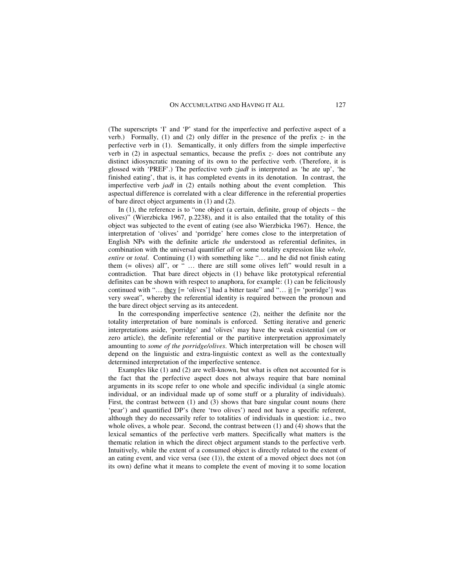(The superscripts 'I' and 'P' stand for the imperfective and perfective aspect of a verb.) Formally, (1) and (2) only differ in the presence of the prefix  $z$ - in the perfective verb in (1). Semantically, it only differs from the simple imperfective verb in (2) in aspectual semantics, because the prefix *z-* does not contribute any distinct idiosyncratic meaning of its own to the perfective verb. (Therefore, it is glossed with 'PREF'.) The perfective verb *zjadł* is interpreted as 'he ate up', 'he finished eating', that is, it has completed events in its denotation. In contrast, the imperfective verb *jadł* in (2) entails nothing about the event completion. This aspectual difference is correlated with a clear difference in the referential properties of bare direct object arguments in (1) and (2).

In (1), the reference is to "one object (a certain, definite, group of objects – the olives)" (Wierzbicka 1967, p.2238), and it is also entailed that the totality of this object was subjected to the event of eating (see also Wierzbicka 1967). Hence, the interpretation of 'olives' and 'porridge' here comes close to the interpretation of English NPs with the definite article *the* understood as referential definites, in combination with the universal quantifier *all* or some totality expression like *whole, entire* or *total*. Continuing (1) with something like "… and he did not finish eating them (= olives) all", or " … there are still some olives left" would result in a contradiction. That bare direct objects in (1) behave like prototypical referential definites can be shown with respect to anaphora, for example: (1) can be felicitously continued with "... they  $[=$  'olives'] had a bitter taste" and "... it  $[=$  'porridge'] was very sweat", whereby the referential identity is required between the pronoun and the bare direct object serving as its antecedent.

In the corresponding imperfective sentence (2), neither the definite nor the totality interpretation of bare nominals is enforced. Setting iterative and generic interpretations aside, 'porridge' and 'olives' may have the weak existential (*sm* or zero article), the definite referential or the partitive interpretation approximately amounting to *some of the porridge/olives*. Which interpretation will be chosen will depend on the linguistic and extra-linguistic context as well as the contextually determined interpretation of the imperfective sentence.

Examples like (1) and (2) are well-known, but what is often not accounted for is the fact that the perfective aspect does not always require that bare nominal arguments in its scope refer to one whole and specific individual (a single atomic individual, or an individual made up of some stuff or a plurality of individuals). First, the contrast between (1) and (3) shows that bare singular count nouns (here 'pear') and quantified DP's (here 'two olives') need not have a specific referent, although they do necessarily refer to totalities of individuals in question: i.e., two whole olives, a whole pear. Second, the contrast between (1) and (4) shows that the lexical semantics of the perfective verb matters. Specifically what matters is the thematic relation in which the direct object argument stands to the perfective verb. Intuitively, while the extent of a consumed object is directly related to the extent of an eating event, and vice versa (see  $(1)$ ), the extent of a moved object does not (on its own) define what it means to complete the event of moving it to some location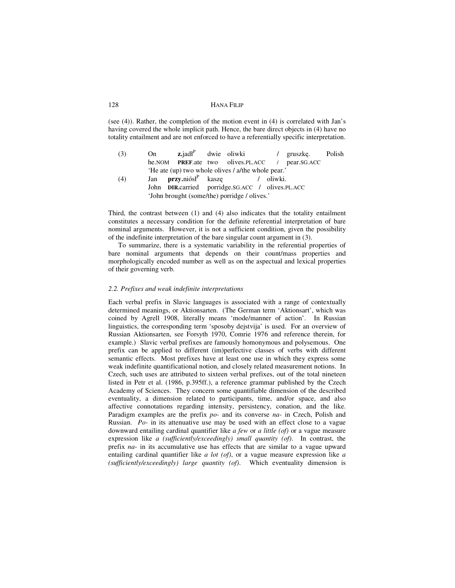(see (4)). Rather, the completion of the motion event in (4) is correlated with Jan's having covered the whole implicit path. Hence, the bare direct objects in (4) have no totality entailment and are not enforced to have a referentially specific interpretation.

| (3) | On |  |                                                            | <b>z</b> , jad <sup>P</sup> dwie oliwki / gruszkę. Polish |  |
|-----|----|--|------------------------------------------------------------|-----------------------------------------------------------|--|
|     |    |  | he.NOM <b>PREF.ate</b> two olives.PL.ACC / pear.SG.ACC     |                                                           |  |
|     |    |  | 'He ate (up) two whole olives / a/the whole pear.'         |                                                           |  |
| (4) |    |  | Jan <b>przy.</b> niósł <sup><i>P</i></sup> kaszę / oliwki. |                                                           |  |
|     |    |  | John DIR.carried porridge.SG.ACC / olives.PL.ACC           |                                                           |  |
|     |    |  | 'John brought (some/the) porridge / olives.'               |                                                           |  |

Third, the contrast between (1) and (4) also indicates that the totality entailment constitutes a necessary condition for the definite referential interpretation of bare nominal arguments. However, it is not a sufficient condition, given the possibility of the indefinite interpretation of the bare singular count argument in (3).

To summarize, there is a systematic variability in the referential properties of bare nominal arguments that depends on their count/mass properties and morphologically encoded number as well as on the aspectual and lexical properties of their governing verb.

## *2.2. Prefixes and weak indefinite interpretations*

Each verbal prefix in Slavic languages is associated with a range of contextually determined meanings, or Aktionsarten. (The German term 'Aktionsart', which was coined by Agrell 1908, literally means 'mode/manner of action'. In Russian linguistics, the corresponding term 'sposoby dejstvija' is used. For an overview of Russian Aktionsarten, see Forsyth 1970, Comrie 1976 and reference therein, for example.) Slavic verbal prefixes are famously homonymous and polysemous. One prefix can be applied to different (im)perfective classes of verbs with different semantic effects. Most prefixes have at least one use in which they express some weak indefinite quantificational notion, and closely related measurement notions. In Czech, such uses are attributed to sixteen verbal prefixes, out of the total nineteen listed in Petr et al. (1986, p.395ff.), a reference grammar published by the Czech Academy of Sciences. They concern some quantifiable dimension of the described eventuality, a dimension related to participants, time, and/or space, and also affective connotations regarding intensity, persistency, conation, and the like. Paradigm examples are the prefix *po-* and its converse *na-* in Czech, Polish and Russian. *Po-* in its attenuative use may be used with an effect close to a vague downward entailing cardinal quantifier like *a few* or *a little (of)* or a vague measure expression like *a (sufficiently/exceedingly) small quantity (of)*. In contrast, the prefix *na*- in its accumulative use has effects that are similar to a vague upward entailing cardinal quantifier like *a lot (of)*, or a vague measure expression like *a (sufficiently/exceedingly) large quantity (of)*. Which eventuality dimension is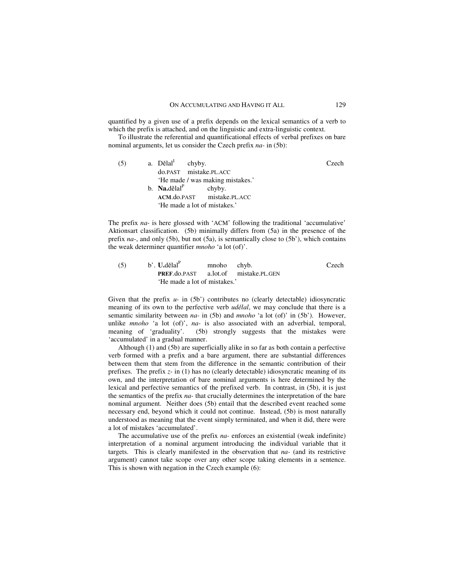quantified by a given use of a prefix depends on the lexical semantics of a verb to which the prefix is attached, and on the linguistic and extra-linguistic context.

To illustrate the referential and quantificational effects of verbal prefixes on bare nominal arguments, let us consider the Czech prefix *na-* in (5b):

| (5) | a. $D\check{e}$ lal <sup>1</sup> chyby.             |                            | Czech |  |
|-----|-----------------------------------------------------|----------------------------|-------|--|
|     | do.PAST mistake.PL.ACC                              |                            |       |  |
|     | 'He made / was making mistakes.'                    |                            |       |  |
|     | b. $\textbf{Na}.d\check{e}$ lal <sup>P</sup> chyby. |                            |       |  |
|     |                                                     | ACM.do.PAST mistake.PL.ACC |       |  |
|     | 'He made a lot of mistakes.'                        |                            |       |  |
|     |                                                     |                            |       |  |

The prefix *na-* is here glossed with 'ACM' following the traditional 'accumulative' Aktionsart classification. (5b) minimally differs from (5a) in the presence of the prefix *na-*, and only (5b), but not (5a), is semantically close to (5b'), which contains the weak determiner quantifier *mnoho* 'a lot (of)'.

| (5) | b'. U.dělal <sup>P</sup>     | mnoho chvb. |                                             | Czech |
|-----|------------------------------|-------------|---------------------------------------------|-------|
|     |                              |             | <b>PREF.do.PAST</b> a.lot.of mistake.PL.GEN |       |
|     | 'He made a lot of mistakes.' |             |                                             |       |

Given that the prefix *u*- in (5b') contributes no (clearly detectable) idiosyncratic meaning of its own to the perfective verb *udlal*, we may conclude that there is a semantic similarity between *na-* in (5b) and *mnoho* 'a lot (of)' in (5b'). However, unlike *mnoho* 'a lot (of)', *na-* is also associated with an adverbial, temporal, meaning of 'graduality'. (5b) strongly suggests that the mistakes were 'accumulated' in a gradual manner.

Although (1) and (5b) are superficially alike in so far as both contain a perfective verb formed with a prefix and a bare argument, there are substantial differences between them that stem from the difference in the semantic contribution of their prefixes. The prefix *z-* in (1) has no (clearly detectable) idiosyncratic meaning of its own, and the interpretation of bare nominal arguments is here determined by the lexical and perfective semantics of the prefixed verb. In contrast, in (5b), it is just the semantics of the prefix *na-* that crucially determines the interpretation of the bare nominal argument. Neither does (5b) entail that the described event reached some necessary end, beyond which it could not continue. Instead, (5b) is most naturally understood as meaning that the event simply terminated, and when it did, there were a lot of mistakes 'accumulated'.

The accumulative use of the prefix *na-* enforces an existential (weak indefinite) interpretation of a nominal argument introducing the individual variable that it targets. This is clearly manifested in the observation that *na-* (and its restrictive argument) cannot take scope over any other scope taking elements in a sentence. This is shown with negation in the Czech example (6):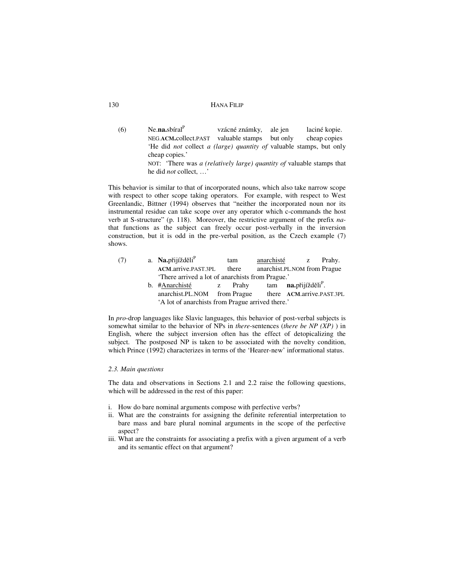(6) Ne.**na.**sbíral P vzácné známky, ale jen laciné kopie. NEG.**ACM.**collect.PAST valuable stamps but only cheap copies 'He did *not* collect *a (large) quantity of* valuable stamps, but only cheap copies.' NOT: 'There was *a (relatively large) quantity of* valuable stamps that

he did *not* collect, …'

This behavior is similar to that of incorporated nouns, which also take narrow scope with respect to other scope taking operators. For example, with respect to West Greenlandic, Bittner (1994) observes that "neither the incorporated noun nor its instrumental residue can take scope over any operator which c-commands the host verb at S-structure" (p. 118). Moreover, the restrictive argument of the prefix *na*that functions as the subject can freely occur post-verbally in the inversion construction, but it is odd in the pre-verbal position, as the Czech example (7) shows.

| (7) | a. Na.přijížděli <sup>P</sup>                    |    | tam         | anarchisté                   | z                                | Prahv.                    |  |
|-----|--------------------------------------------------|----|-------------|------------------------------|----------------------------------|---------------------------|--|
|     | ACM.arrive.PAST.3PL                              |    | there       | anarchist.PL.NOM from Prague |                                  |                           |  |
|     | 'There arrived a lot of anarchists from Prague.' |    |             |                              |                                  |                           |  |
|     | b. #Anarchisté                                   | Z. | Prahy       |                              | tam na.přijížděli <sup>P</sup> . |                           |  |
|     | anarchist.PL.NOM                                 |    | from Prague |                              |                                  | there ACM.arrive.PAST.3PL |  |

'A lot of anarchists from Prague arrived there.'

In *pro*-drop languages like Slavic languages, this behavior of post-verbal subjects is somewhat similar to the behavior of NPs in *there*-sentences (*there be NP (XP)* ) in English, where the subject inversion often has the effect of detopicalizing the subject. The postposed NP is taken to be associated with the novelty condition, which Prince (1992) characterizes in terms of the 'Hearer-new' informational status.

## *2.3. Main questions*

The data and observations in Sections 2.1 and 2.2 raise the following questions, which will be addressed in the rest of this paper:

- i. How do bare nominal arguments compose with perfective verbs?
- ii. What are the constraints for assigning the definite referential interpretation to bare mass and bare plural nominal arguments in the scope of the perfective aspect?
- iii. What are the constraints for associating a prefix with a given argument of a verb and its semantic effect on that argument?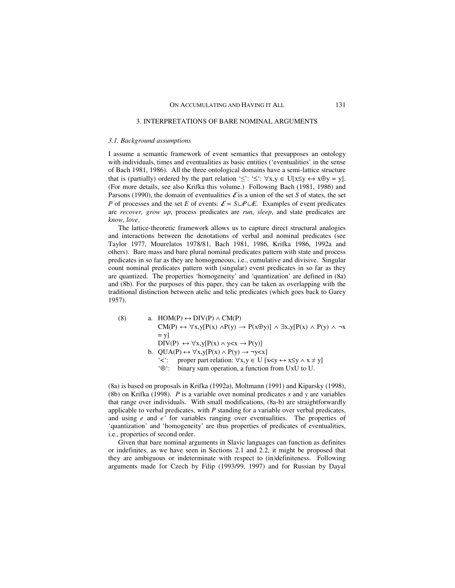#### 3. INTERPRETATIONS OF BARE NOMINAL ARGUMENTS

#### *3.1. Background assumptions*

I assume a semantic framework of event semantics that presupposes an ontology with individuals, times and eventualities as basic entities ('eventualities' in the sense of Bach 1981, 1986). All the three ontological domains have a semi-lattice structure that is (partially) ordered by the part relation ' $\leq$ ': ' $\leq$ ':  $\forall x, y \in U[x \leq y \leftrightarrow x \oplus y = y]$ . (For more details, see also Krifka this volume.) Following Bach (1981, 1986) and Parsons (1990), the domain of eventualities  $\mathcal E$  is a union of the set *S* of states, the set *P* of processes and the set *E* of events:  $\mathcal{E} = S \cup P \cup E$ . Examples of event predicates are *recover, grow up*, process predicates are *run*, *sleep*, and state predicates are *know, love*.

The lattice-theoretic framework allows us to capture direct structural analogies and interactions between the denotations of verbal and nominal predicates (see Taylor 1977, Mourelatos 1978/81, Bach 1981, 1986, Krifka 1986, 1992a and others). Bare mass and bare plural nominal predicates pattern with state and process predicates in so far as they are homogeneous, i.e., cumulative and divisive. Singular count nominal predicates pattern with (singular) event predicates in so far as they are quantized. The properties 'homogeneity' and 'quantization' are defined in (8a) and (8b). For the purposes of this paper, they can be taken as overlapping with the traditional distinction between atelic and telic predicates (which goes back to Garey 1957).

\n- \n (8) \n
	\n- a. HOM(P) ↔ DIV(P) ∧ CM(P)
	\n- $$
	CM(P) ↔ \forall x, y[P(x) ∧ P(y) → P(x \oplus y)] ∧ \exists x, y[P(x) ∧ P(y) ∧ \neg x = y]
	$$
	\n- $DIV(P) ↔ \forall x, y[P(x) ∧ y < x → P(y)]$
	\n- b. QUA(P) ↔  $\forall x, y[P(x) ∧ P(y) → \neg y < x]$
	\n- '<': proper part relation:  $\forall x, y \in U \{x < y \leftrightarrow x \leq y \land x \neq y\}$
	\n- ' $\oplus$ ': binary sum operation, a function from UxU to U.
	\n\n
\n

(8a) is based on proposals in Krifka (1992a), Moltmann (1991) and Kiparsky (1998), (8b) on Krifka (1998). *P* is a variable over nominal predicates *x* and *y* are variables that range over individuals. With small modifications, (8a-b) are straightforwardly applicable to verbal predicates, with *P* standing for a variable over verbal predicates, and using *e* and *e'* for variables ranging over eventualities. The properties of 'quantization' and 'homogeneity' are thus properties of predicates of eventualities, i.e., properties of second order.

Given that bare nominal arguments in Slavic languages can function as definites or indefinites, as we have seen in Sections 2.1 and 2.2, it might be proposed that they are ambiguous or indeterminate with respect to (in)definiteness. Following arguments made for Czech by Filip (1993/99, 1997) and for Russian by Dayal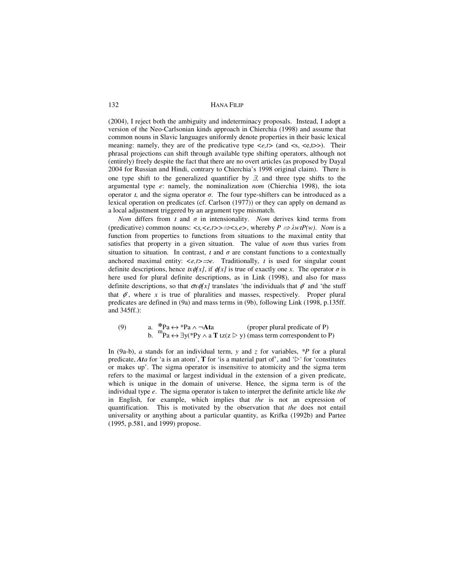(2004), I reject both the ambiguity and indeterminacy proposals. Instead, I adopt a version of the Neo-Carlsonian kinds approach in Chierchia (1998) and assume that common nouns in Slavic languages uniformly denote properties in their basic lexical meaning: namely, they are of the predicative type  $\langle e, t \rangle$  (and  $\langle s, \langle e, t \rangle$ ). Their phrasal projections can shift through available type shifting operators, although not (entirely) freely despite the fact that there are no overt articles (as proposed by Dayal 2004 for Russian and Hindi, contrary to Chierchia's 1998 original claim). There is one type shift to the generalized quantifier by  $\exists$ , and three type shifts to the argumental type *e*: namely, the nominalization *nom* (Chierchia 1998), the iota operator  $\iota$ , and the sigma operator  $\sigma$ . The four type-shifters can be introduced as a lexical operation on predicates (cf. Carlson (1977)) or they can apply on demand as a local adjustment triggered by an argument type mismatch.

*Nom* differs from  $\iota$  and  $\sigma$  in intensionality. *Nom* derives kind terms from (predicative) common nouns:  $\langle s, \langle e, t \rangle \rangle \Rightarrow \langle s, e \rangle$ , whereby  $P \Rightarrow \lambda w \cdot P(w)$ . Nom is a function from properties to functions from situations to the maximal entity that satisfies that property in a given situation. The value of *nom* thus varies from situation to situation. In contrast,  $\iota$  and  $\sigma$  are constant functions to a contextually anchored maximal entity:  $\langle e, t \rangle \implies$ . Traditionally, *t* is used for singular count definite descriptions, hence  $tx\phi\{x\}$ , if  $\phi\{x\}$  is true of exactly one *x*. The operator  $\sigma$  is here used for plural definite descriptions, as in Link (1998), and also for mass definite descriptions, so that  $\alpha x \phi(x)$  translates 'the individuals that  $\phi$ ' and 'the stuff that  $\phi$ , where *x* is true of pluralities and masses, respectively. Proper plural predicates are defined in (9a) and mass terms in (9b), following Link (1998, p.135ff. and 345ff.):

(9) a.  ${}^{*}\text{Pa} \leftrightarrow {}^{*}\text{Pa} \land \neg \text{Ata}$  (proper plural predicate of P) b.  ${}^{m}Pa \leftrightarrow \exists y$ (\*Py ∧ a **T**  $iz(z \triangleright y)$  (mass term correspondent to P)

In (9a-b), *a* stands for an individual term, *y* and *z* for variables,  $*P$  for a plural predicate, *Ata* for 'a is an atom', **T** for 'is a material part of', and ' $\triangleright$ ' for 'constitutes or makes up'. The sigma operator is insensitive to atomicity and the sigma term refers to the maximal or largest individual in the extension of a given predicate, which is unique in the domain of universe. Hence, the sigma term is of the individual type *e*. The sigma operator is taken to interpret the definite article like *the* in English, for example, which implies that *the* is not an expression of quantification. This is motivated by the observation that *the* does not entail universality or anything about a particular quantity, as Krifka (1992b) and Partee (1995, p.581, and 1999) propose.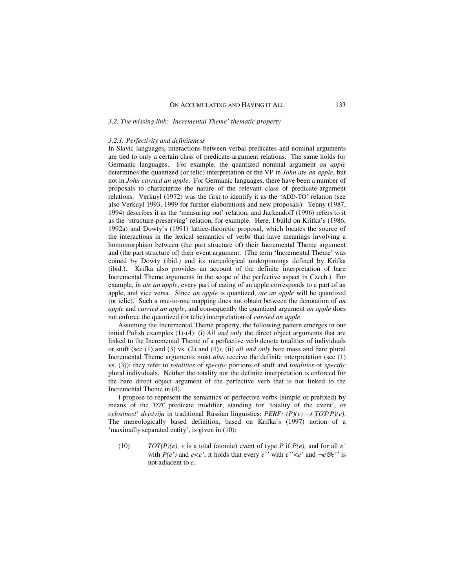#### *3.2. The missing link: 'Incremental Theme' thematic property*

#### *3.2.1. Perfectivity and definiteness*

In Slavic languages, interactions between verbal predicates and nominal arguments are tied to only a certain class of predicate-argument relations. The same holds for Germanic languages. For example, the quantized nominal argument *an apple* determines the quantized (or telic) interpretation of the VP in *John ate an apple*, but not in *John carried an apple*. For Germanic languages, there have been a number of proposals to characterize the nature of the relevant class of predicate-argument relations. Verkuyl (1972) was the first to identify it as the 'ADD-TO' relation (see also Verkuyl 1993, 1999 for further elaborations and new proposals). Tenny (1987, 1994) describes it as the 'measuring out' relation, and Jackendoff (1996) refers to it as the 'structure-preserving' relation, for example. Here, I build on Krifka's (1986, 1992a) and Dowty's (1991) lattice-theoretic proposal, which locates the source of the interactions in the lexical semantics of verbs that have meanings involving a homomorphism between (the part structure of) their Incremental Theme argument and (the part structure of) their event argument. (The term 'Incremental Theme' was coined by Dowty (ibid.) and its mereological underpinnings defined by Krifka (ibid.). Krifka also provides an account of the definite interpretation of bare Incremental Theme arguments in the scope of the perfective aspect in Czech.) For example, in *ate an apple*, every part of eating of an apple corresponds to a part of an apple, and vice versa. Since *an apple* is quantized, *ate an apple* will be quantized (or telic). Such a one-to-one mapping does not obtain between the denotation of *an apple* and *carried an apple*, and consequently the quantized argument *an apple* does not enforce the quantized (or telic) interpretation of *carried an apple*.

Assuming the Incremental Theme property, the following pattern emerges in our initial Polish examples (1)-(4): (i) *All and only* the direct object arguments that are linked to the Incremental Theme of a perfective verb denote totalities of individuals or stuff (see (1) and (3) vs. (2) and (4)); (ii) *all and only* bare mass and bare plural Incremental Theme arguments must *also* receive the definite interpretation (see (1) vs. (3)): they refer to *totalities* of *specific* portions of stuff and *totalities* of *specific* plural individuals. Neither the totality nor the definite interpretation is enforced for the bare direct object argument of the perfective verb that is not linked to the Incremental Theme in (4).

I propose to represent the semantics of perfective verbs (simple or prefixed) by means of the *TOT* predicate modifier, standing for 'totality of the event', or *celostnost' deistvija* in traditional Russian linguistics: *PERF:*  $(P)(e) \rightarrow TOT(P)(e)$ . The mereologically based definition, based on Krifka's (1997) notion of a 'maximally separated entity', is given in (10):

(10)  $TOT(P)(e)$ , *e* is a total (atomic) event of type *P* if  $P(e)$ , and for all *e'* with  $P(e')$  and  $e \le e'$ , it holds that every  $e'$  with  $e' \le e'$  and  $\neg e \otimes e'$  is not adjacent to *e*.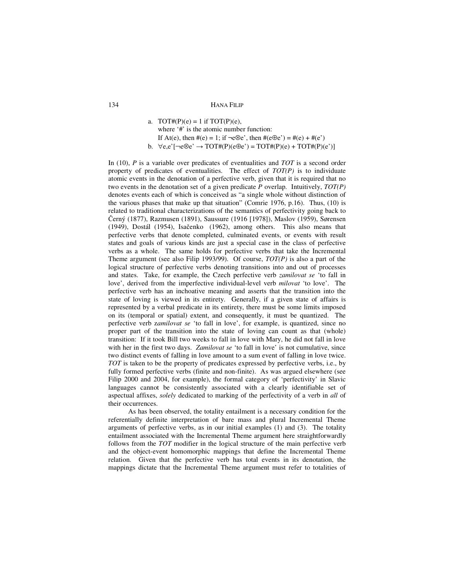a. TOT# $(P)(e) = 1$  if TOT $(P)(e)$ , where '#' is the atomic number function: If At(e), then  $#(e) = 1$ ; if  $\neg e \otimes e'$ , then  $#(e \oplus e') = \#(e) + \#(e')$ b.  $\forall e, e'[\neg e \otimes e' \rightarrow TOT\#(P)(e \oplus e') = TOT\#(P)(e) + TOT\#(P)(e')]$ 

In (10), *P* is a variable over predicates of eventualities and *TOT* is a second order property of predicates of eventualities. The effect of *TOT(P)* is to individuate atomic events in the denotation of a perfective verb, given that it is required that no two events in the denotation set of a given predicate *P* overlap. Intuitively, *TOT(P)* denotes events each of which is conceived as "a single whole without distinction of the various phases that make up that situation" (Comrie 1976, p.16). Thus, (10) is related to traditional characterizations of the semantics of perfectivity going back to erný (1877), Razmusen (1891), Saussure (1916 [1978]), Maslov (1959), Sørensen (1949), Dostál (1954), Isačenko (1962), among others. This also means that perfective verbs that denote completed, culminated events, or events with result states and goals of various kinds are just a special case in the class of perfective verbs as a whole. The same holds for perfective verbs that take the Incremental Theme argument (see also Filip 1993/99). Of course, *TOT(P)* is also a part of the logical structure of perfective verbs denoting transitions into and out of processes and states. Take, for example, the Czech perfective verb *zamilovat se* 'to fall in love', derived from the imperfective individual-level verb *milovat* 'to love'. The perfective verb has an inchoative meaning and asserts that the transition into the state of loving is viewed in its entirety. Generally, if a given state of affairs is represented by a verbal predicate in its entirety, there must be some limits imposed on its (temporal or spatial) extent, and consequently, it must be quantized. The perfective verb z*amilovat se* 'to fall in love', for example, is quantized, since no proper part of the transition into the state of loving can count as that (whole) transition: If it took Bill two weeks to fall in love with Mary, he did not fall in love with her in the first two days. *Zamilovat se* 'to fall in love' is not cumulative, since two distinct events of falling in love amount to a sum event of falling in love twice. *TOT* is taken to be the property of predicates expressed by perfective verbs, i.e., by fully formed perfective verbs (finite and non-finite). As was argued elsewhere (see Filip 2000 and 2004, for example), the formal category of 'perfectivity' in Slavic languages cannot be consistently associated with a clearly identifiable set of aspectual affixes, *solely* dedicated to marking of the perfectivity of a verb in *all* of their occurrences.

As has been observed, the totality entailment is a necessary condition for the referentially definite interpretation of bare mass and plural Incremental Theme arguments of perfective verbs, as in our initial examples (1) and (3). The totality entailment associated with the Incremental Theme argument here straightforwardly follows from the *TOT* modifier in the logical structure of the main perfective verb and the object-event homomorphic mappings that define the Incremental Theme relation. Given that the perfective verb has total events in its denotation, the mappings dictate that the Incremental Theme argument must refer to totalities of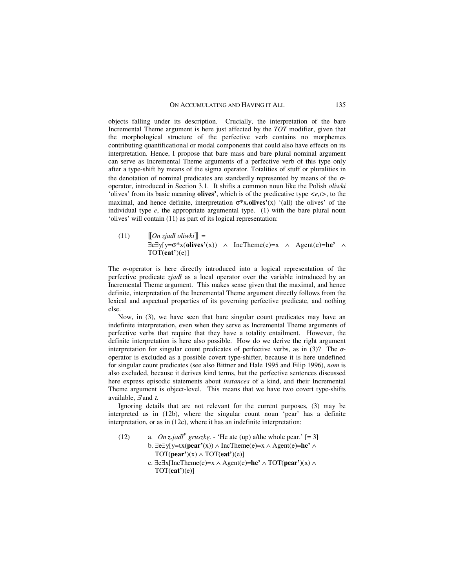objects falling under its description. Crucially, the interpretation of the bare Incremental Theme argument is here just affected by the *TOT* modifier, given that the morphological structure of the perfective verb contains no morphemes contributing quantificational or modal components that could also have effects on its interpretation. Hence, I propose that bare mass and bare plural nominal argument can serve as Incremental Theme arguments of a perfective verb of this type only after a type-shift by means of the sigma operator. Totalities of stuff or pluralities in the denotation of nominal predicates are standardly represented by means of the  $\sigma$ operator, introduced in Section 3.1. It shifts a common noun like the Polish *oliwki* 'olives' from its basic meaning **olives'**, which is of the predicative type *<e,t>*, to the maximal, and hence definite, interpretation σ**\***x**.olives'**(x) '(all) the olives' of the individual type  $e$ , the appropriate argumental type.  $(1)$  with the bare plural noun 'olives' will contain (11) as part of its logical representation:

 $[On \text{ zjadt} \text{ oliwki}] =$ ∃e∃y[y=σ**\***x(**olives'**(x)) ∧ IncTheme(e)=x ∧ Agent(e)=**he'** ∧ TOT(**eat'**)(e)]

The  $\sigma$ -operator is here directly introduced into a logical representation of the perfective predicate *zjadł* as a local operator over the variable introduced by an Incremental Theme argument. This makes sense given that the maximal, and hence definite, interpretation of the Incremental Theme argument directly follows from the lexical and aspectual properties of its governing perfective predicate, and nothing else.

Now, in (3), we have seen that bare singular count predicates may have an indefinite interpretation, even when they serve as Incremental Theme arguments of perfective verbs that require that they have a totality entailment. However, the definite interpretation is here also possible. How do we derive the right argument interpretation for singular count predicates of perfective verbs, as in  $(3)$ ? The  $\sigma$ operator is excluded as a possible covert type-shifter, because it is here undefined for singular count predicates (see also Bittner and Hale 1995 and Filip 1996), *nom* is also excluded, because it derives kind terms, but the perfective sentences discussed here express episodic statements about *instances* of a kind, and their Incremental Theme argument is object-level. This means that we have two covert type-shifts available,  $\exists$  and  $\iota$ .

Ignoring details that are not relevant for the current purposes, (3) may be interpreted as in (12b), where the singular count noun 'pear' has a definite interpretation, or as in (12c), where it has an indefinite interpretation:

(12) a. *On zjadł*<sup>*P*</sup> gruszkę. - 'He ate (up) a/the whole pear.' [= 3] b.  $\exists e \exists y[y=x(\text{pear'}(x)) \land \text{Inc} \text{Then}(e)=x \land \text{Agent}(e)=he' \land$  $TOT(**pear**<sup>*</sup>)(x) \wedge TOT(**eat**<sup>*)(e)]</sup>$ c. ∃e∃x[IncTheme(e)=x ∧ Agent(e)=**he'** ∧ TOT(**pear'**)(x) ∧ TOT(**eat'**)(e)]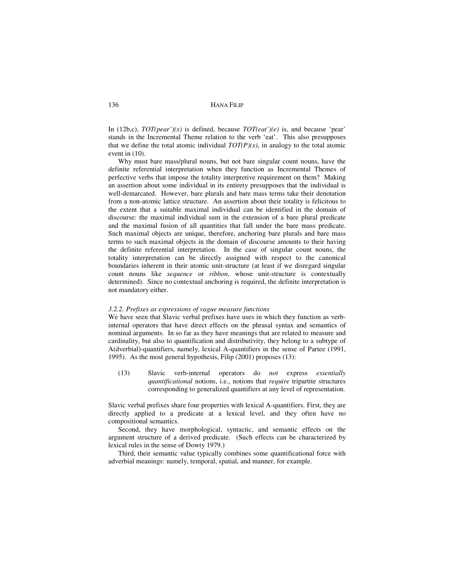In (12b,c), *TOT(pear')(x)* is defined, because *TOT(eat')(e)* is, and because 'pear' stands in the Incremental Theme relation to the verb 'eat'. This also presupposes that we define the total atomic individual  $TOT(P)(x)$ , in analogy to the total atomic event in (10).

Why must bare mass/plural nouns, but not bare singular count nouns, have the definite referential interpretation when they function as Incremental Themes of perfective verbs that impose the totality interpretive requirement on them? Making an assertion about some individual in its entirety presupposes that the individual is well-demarcated. However, bare plurals and bare mass terms take their denotation from a non-atomic lattice structure. An assertion about their totality is felicitous to the extent that a suitable maximal individual can be identified in the domain of discourse: the maximal individual sum in the extension of a bare plural predicate and the maximal fusion of all quantities that fall under the bare mass predicate. Such maximal objects are unique, therefore, anchoring bare plurals and bare mass terms to such maximal objects in the domain of discourse amounts to their having the definite referential interpretation. In the case of singular count nouns, the totality interpretation can be directly assigned with respect to the canonical boundaries inherent in their atomic unit-structure (at least if we disregard singular count nouns like *sequence* or *ribbon*, whose unit-structure is contextually determined). Since no contextual anchoring is required, the definite interpretation is not mandatory either.

#### *3.2.2. Prefixes as expressions of vague measure functions*

We have seen that Slavic verbal prefixes have uses in which they function as verbinternal operators that have direct effects on the phrasal syntax and semantics of nominal arguments. In so far as they have meanings that are related to measure and cardinality, but also to quantification and distributivity, they belong to a subtype of A(dverbial)-quantifiers, namely, lexical A-quantifiers in the sense of Partee (1991, 1995). As the most general hypothesis, Filip (2001) proposes (13):

(13) Slavic verb-internal operators do *not* express *essentially quantificational* notions, i.e., notions that *require* tripartite structures corresponding to generalized quantifiers at any level of representation.

Slavic verbal prefixes share four properties with lexical A-quantifiers. First, they are directly applied to a predicate at a lexical level, and they often have no compositional semantics.

Second, they have morphological, syntactic, and semantic effects on the argument structure of a derived predicate. (Such effects can be characterized by lexical rules in the sense of Dowty 1979.)

Third, their semantic value typically combines some quantificational force with adverbial meanings: namely, temporal, spatial, and manner, for example.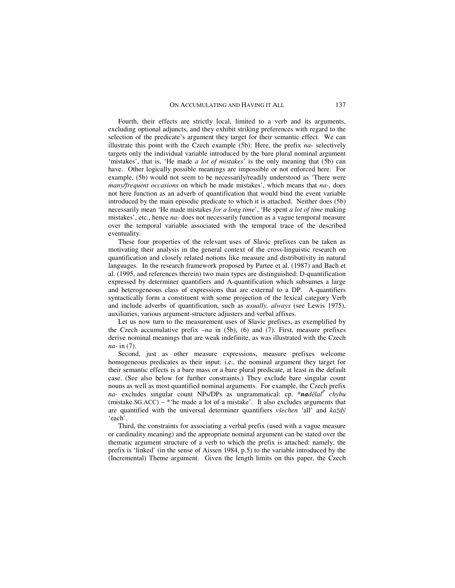Fourth, their effects are strictly local, limited to a verb and its arguments, excluding optional adjuncts, and they exhibit striking preferences with regard to the selection of the predicate's argument they target for their semantic effect. We can illustrate this point with the Czech example (5b): Here, the prefix *na-* selectively targets only the individual variable introduced by the bare plural nominal argument 'mistakes', that is, 'He made *a lot of mistakes*' is the only meaning that (5b) can have. Other logically possible meanings are impossible or not enforced here. For example, (5b) would not seem to be necessarily/readily understood as 'There were *many/frequent occasions* on which he made mistakes', which means that *na-*, does not here function as an adverb of quantification that would bind the event variable introduced by the main episodic predicate to which it is attached. Neither does (5b) necessarily mean 'He made mistakes *for a long time*', 'He spent *a lot of time* making mistakes', etc., hence *na-* does not necessarily function as a vague temporal measure over the temporal variable associated with the temporal trace of the described eventuality.

These four properties of the relevant uses of Slavic prefixes can be taken as motivating their analysis in the general context of the cross-linguistic research on quantification and closely related notions like measure and distributivity in natural languages. In the research framework proposed by Partee et al. (1987) and Bach et al. (1995, and references therein) two main types are distinguished: D-quantification expressed by determiner quantifiers and A-quantification which subsumes a large and heterogeneous class of expressions that are external to a DP. A-quantifiers syntactically form a constituent with some projection of the lexical category Verb and include adverbs of quantification, such as *usually, always* (see Lewis 1975), auxiliaries, various argument-structure adjusters and verbal affixes.

Let us now turn to the measurement uses of Slavic prefixes, as exemplified by the Czech accumulative prefix  $-na$  in (5b), (6) and (7). First, measure prefixes derive nominal meanings that are weak indefinite, as was illustrated with the Czech *na-* in (7).

Second, just as other measure expressions, measure prefixes welcome homogeneous predicates as their input: i.e., the nominal argument they target for their semantic effects is a bare mass or a bare plural predicate, at least in the default case. (See also below for further constraints.) They exclude bare singular count nouns as well as most quantified nominal arguments. For example, the Czech prefix *na-* excludes singular count NPs/DPs as ungrammatical: cp. \**nadlal P chybu* (mistake. SG.ACC) – \* 'he made a lot of a mistake'. It also excludes arguments that are quantified with the universal determiner quantifiers *všechen* 'all' and *každý* 'each'.

Third, the constraints for associating a verbal prefix (used with a vague measure or cardinality meaning) and the appropriate nominal argument can be stated over the thematic argument structure of a verb to which the prefix is attached: namely, the prefix is 'linked' (in the sense of Aissen 1984, p.5) to the variable introduced by the (Incremental) Theme argument. Given the length limits on this paper, the Czech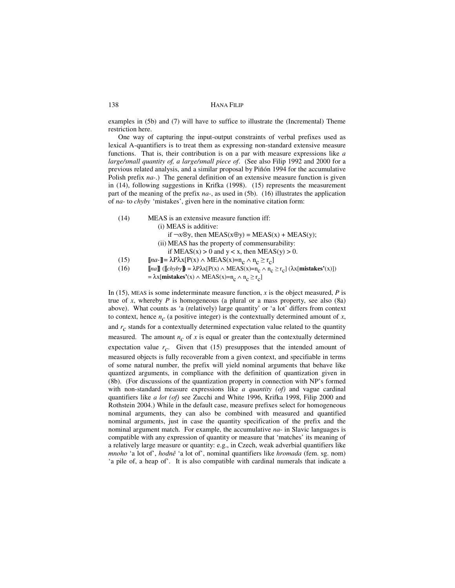examples in (5b) and (7) will have to suffice to illustrate the (Incremental) Theme restriction here.

One way of capturing the input-output constraints of verbal prefixes used as lexical A-quantifiers is to treat them as expressing non-standard extensive measure functions. That is, their contribution is on a par with measure expressions like *a large/small quantity of, a large/small piece of*. (See also Filip 1992 and 2000 for a previous related analysis, and a similar proposal by Piñón 1994 for the accumulative Polish prefix *na-*.) The general definition of an extensive measure function is given in (14), following suggestions in Krifka (1998). (15) represents the measurement part of the meaning of the prefix *na-*, as used in (5b). (16) illustrates the application of *na-* to *chyby* 'mistakes', given here in the nominative citation form:

- (14) MEAS is an extensive measure function iff:
	- (i) MEAS is additive:
	- if ¬x⊗y, then MEAS(x⊕y) = MEAS(x) + MEAS(y);
	- (ii) MEAS has the property of commensurability: if  $MEAS(x) > 0$  and  $y < x$ , then  $MEAS(y) > 0$ .
- 
- (15)  $\text{[}na-\text{]}=\lambda P\lambda x[P(x) \wedge \text{MEAS}(x)=n_{\text{C}} \wedge n_{\text{C}} \ge r_{\text{C}}\text{]}$ (16)  $\text{[ln}a\text{]} (\text{[}chyby\text{]})\text{]} = \lambda P \lambda x [P(x) \wedge \text{MEAS}(x) = n_c \wedge n_c \ge r_c] (\lambda x [\text{mistakes'}(x)])$  $= \lambda x$ [**mistakes'**(x)  $\wedge$  MEAS(x)=n<sub>C</sub>  $\wedge$  n<sub>C</sub>  $\geq$  r<sub>C</sub>]

In (15), MEAS is some indeterminate measure function, *x* is the object measured, *P* is true of *x*, whereby  $P$  is homogeneous (a plural or a mass property, see also (8a) above). What counts as 'a (relatively) large quantity' or 'a lot' differs from context to context, hence  $n_c$  (a positive integer) is the contextually determined amount of  $x$ , and  $r_c$  stands for a contextually determined expectation value related to the quantity measured. The amount  $n_c$  of  $x$  is equal or greater than the contextually determined expectation value  $r_c$ . Given that  $(15)$  presupposes that the intended amount of measured objects is fully recoverable from a given context, and specifiable in terms of some natural number, the prefix will yield nominal arguments that behave like quantized arguments, in compliance with the definition of quantization given in (8b). (For discussions of the quantization property in connection with NP's formed with non-standard measure expressions like *a quantity (of)* and vague cardinal quantifiers like *a lot (of)* see Zucchi and White 1996, Krifka 1998, Filip 2000 and Rothstein 2004.) While in the default case, measure prefixes select for homogeneous nominal arguments, they can also be combined with measured and quantified nominal arguments, just in case the quantity specification of the prefix and the nominal argument match. For example, the accumulative *na*- in Slavic languages is compatible with any expression of quantity or measure that 'matches' its meaning of a relatively large measure or quantity: e.g., in Czech, weak adverbial quantifiers like *mnoho* 'a lot of', *hodně* 'a lot of', nominal quantifiers like *hromada* (fem. sg. nom) 'a pile of, a heap of'. It is also compatible with cardinal numerals that indicate a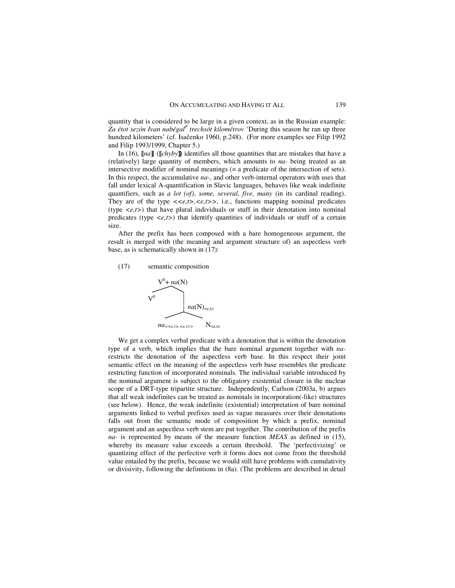quantity that is considered to be large in a given context, as in the Russian example: *Za étot sezón Ivan nabégal P trechsót kilométrov* 'During this season he ran up three hundred kilometers' (cf. Isačenko 1960, p.248). (For more examples see Filip 1992 and Filip 1993/1999, Chapter 5.)

In (16), [[*na***]]** ([[*chyby***]]**) identifies all those quantities that are mistakes that have a (relatively) large quantity of members, which amounts to *na-* being treated as an intersective modifier of nominal meanings (= a predicate of the intersection of sets). In this respect, the accumulative *na-*, and other verb-internal operators with uses that fall under lexical A-quantification in Slavic languages, behaves like weak indefinite quantifiers, such as *a lot (of)*, *some, several, five, many* (in its cardinal reading). They are of the type  $\langle\langle e,t\rangle,\langle e,t\rangle\rangle$ , i.e., functions mapping nominal predicates (type  $\langle e, t \rangle$ ) that have plural individuals or stuff in their denotation into nominal predicates (type *<e,t>*) that identify quantities of individuals or stuff of a certain size.

After the prefix has been composed with a bare homogeneous argument, the result is merged with (the meaning and argument structure of) an aspectless verb base, as is schematically shown in (17):

(17) semantic composition



We get a complex verbal predicate with a denotation that is within the denotation type of a verb, which implies that the bare nominal argument together with *na*restricts the denotation of the aspectless verb base. In this respect their joint semantic effect on the meaning of the aspectless verb base resembles the predicate restricting function of incorporated nominals. The individual variable introduced by the nominal argument is subject to the obligatory existential closure in the nuclear scope of a DRT-type tripartite structure. Independently, Carlson (2003a, b) argues that all weak indefinites can be treated as nominals in incorporation(-like) structures (see below). Hence, the weak indefinite (existential) interpretation of bare nominal arguments linked to verbal prefixes used as vague measures over their denotations falls out from the semantic mode of composition by which a prefix, nominal argument and an aspectless verb stem are put together. The contribution of the prefix *na-* is represented by means of the measure function *MEAS* as defined in (15), whereby its measure value exceeds a certain threshold. The 'perfectivizing' or quantizing effect of the perfective verb it forms does not come from the threshold value entailed by the prefix, because we would still have problems with cumulativity or divisivity, following the definitions in (8a). (The problems are described in detail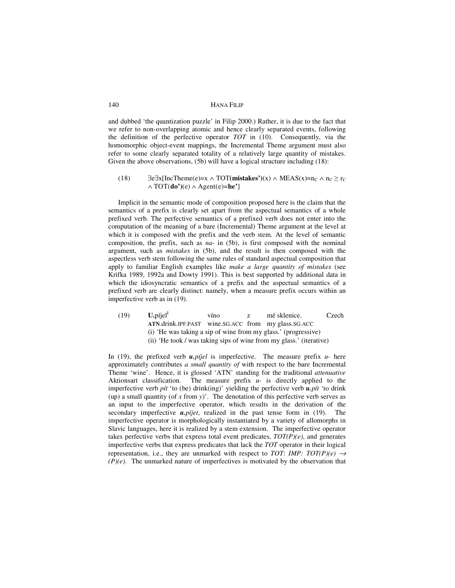and dubbed 'the quantization puzzle' in Filip 2000.) Rather, it is due to the fact that we refer to non-overlapping atomic and hence clearly separated events, following the definition of the perfective operator *TOT* in (10). Consequently, via the homomorphic object-event mappings, the Incremental Theme argument must also refer to some clearly separated totality of a relatively large quantity of mistakes. Given the above observations, (5b) will have a logical structure including (18):

## (18)  $\exists$ e∃x[IncTheme(e)=x ∧ TOT(**mistakes'**)(x) ∧ MEAS(x)=n<sub>C</sub> ∧ n<sub>C</sub> ≥ r<sub>C</sub> ∧ TOT(**do')**(e) ∧ Agent(e)=**he'**]

Implicit in the semantic mode of composition proposed here is the claim that the semantics of a prefix is clearly set apart from the aspectual semantics of a whole prefixed verb. The perfective semantics of a prefixed verb does not enter into the computation of the meaning of a bare (Incremental) Theme argument at the level at which it is composed with the prefix and the verb stem. At the level of semantic composition, the prefix, such as *na-* in (5b), is first composed with the nominal argument, such as *mistakes* in (5b), and the result is then composed with the aspectless verb stem following the same rules of standard aspectual composition that apply to familiar English examples like *make a large quantity of mistakes* (see Krifka 1989, 1992a and Dowty 1991). This is best supported by additional data in which the idiosyncratic semantics of a prefix and the aspectual semantics of a prefixed verb are clearly distinct: namely, when a measure prefix occurs within an imperfective verb as in (19).

(19) **U.**píjel I víno z mé sklenice. Czech **ATN**.drink.IPF.PAST wine.SG.ACC from my glass.SG.ACC (i) 'He was taking a sip of wine from my glass.' (progressive) (ii) 'He took / was taking sips of wine from my glass.' (iterative)

In (19), the prefixed verb *u.píjel* is imperfective. The measure prefix *u-* here approximately contributes *a small quantity of* with respect to the bare Incremental Theme 'wine'. Hence, it is glossed 'ATN' standing for the traditional *attenuative* Aktionsart classification. The measure prefix  $u$ - is directly applied to the The measure prefix  $u$ - is directly applied to the imperfective verb *pít* 'to (be) drink(ing)' yielding the perfective verb *u.pít* 'to drink (up) a small quantity (of *x* from *y*)'. The denotation of this perfective verb serves as an input to the imperfective operator, which results in the derivation of the secondary imperfective *u.píjet*, realized in the past tense form in (19). The imperfective operator is morphologically instantiated by a variety of allomorphs in Slavic languages, here it is realized by a stem extension. The imperfective operator takes perfective verbs that express total event predicates,  $TOT(P)(e)$ , and generates imperfective verbs that express predicates that lack the *TOT* operator in their logical representation, i.e., they are unmarked with respect to *TOT: IMP: TOT(P)(e)*  $\rightarrow$ *(P)(e)*. The unmarked nature of imperfectives is motivated by the observation that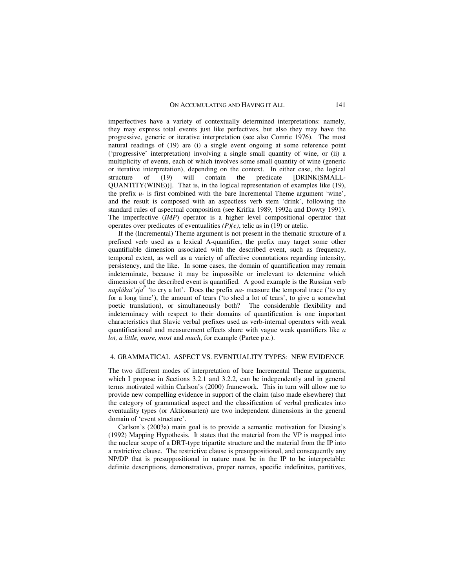imperfectives have a variety of contextually determined interpretations: namely, they may express total events just like perfectives, but also they may have the progressive, generic or iterative interpretation (see also Comrie 1976). The most natural readings of (19) are (i) a single event ongoing at some reference point ('progressive' interpretation) involving a single small quantity of wine, or (ii) a multiplicity of events, each of which involves some small quantity of wine (generic or iterative interpretation), depending on the context. In either case, the logical structure of (19) will contain the predicate [DRINK(SMALL-QUANTITY(WINE))]. That is, in the logical representation of examples like (19), the prefix *u-* is first combined with the bare Incremental Theme argument 'wine', and the result is composed with an aspectless verb stem 'drink', following the standard rules of aspectual composition (see Krifka 1989, 1992a and Dowty 1991). The imperfective (*IMP*) operator is a higher level compositional operator that operates over predicates of eventualities  $(P)(e)$ , telic as in (19) or atelic.

If the (Incremental) Theme argument is not present in the thematic structure of a prefixed verb used as a lexical A-quantifier, the prefix may target some other quantifiable dimension associated with the described event, such as frequency, temporal extent, as well as a variety of affective connotations regarding intensity, persistency, and the like. In some cases, the domain of quantification may remain indeterminate, because it may be impossible or irrelevant to determine which dimension of the described event is quantified. A good example is the Russian verb *naplákat'sja<sup>P</sup>* 'to cry a lot'. Does the prefix *na*- measure the temporal trace ('to cry for a long time'), the amount of tears ('to shed a lot of tears', to give a somewhat poetic translation), or simultaneously both? The considerable flexibility and indeterminacy with respect to their domains of quantification is one important characteristics that Slavic verbal prefixes used as verb-internal operators with weak quantificational and measurement effects share with vague weak quantifiers like *a lot, a little, more, most* and *much*, for example (Partee p.c.).

#### 4. GRAMMATICAL ASPECT VS. EVENTUALITY TYPES: NEW EVIDENCE

The two different modes of interpretation of bare Incremental Theme arguments, which I propose in Sections 3.2.1 and 3.2.2, can be independently and in general terms motivated within Carlson's (2000) framework. This in turn will allow me to provide new compelling evidence in support of the claim (also made elsewhere) that the category of grammatical aspect and the classification of verbal predicates into eventuality types (or Aktionsarten) are two independent dimensions in the general domain of 'event structure'.

Carlson's (2003a) main goal is to provide a semantic motivation for Diesing's (1992) Mapping Hypothesis. It states that the material from the VP is mapped into the nuclear scope of a DRT-type tripartite structure and the material from the IP into a restrictive clause. The restrictive clause is presuppositional, and consequently any NP/DP that is presuppositional in nature must be in the IP to be interpretable: definite descriptions, demonstratives, proper names, specific indefinites, partitives,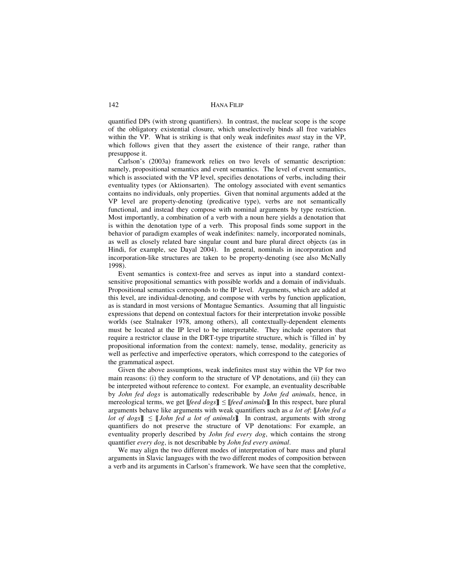quantified DPs (with strong quantifiers). In contrast, the nuclear scope is the scope of the obligatory existential closure, which unselectively binds all free variables within the VP. What is striking is that only weak indefinites *must* stay in the VP, which follows given that they assert the existence of their range, rather than presuppose it.

Carlson's (2003a) framework relies on two levels of semantic description: namely, propositional semantics and event semantics. The level of event semantics, which is associated with the VP level, specifies denotations of verbs, including their eventuality types (or Aktionsarten). The ontology associated with event semantics contains no individuals, only properties. Given that nominal arguments added at the VP level are property-denoting (predicative type), verbs are not semantically functional, and instead they compose with nominal arguments by type restriction. Most importantly, a combination of a verb with a noun here yields a denotation that is within the denotation type of a verb. This proposal finds some support in the behavior of paradigm examples of weak indefinites: namely, incorporated nominals, as well as closely related bare singular count and bare plural direct objects (as in Hindi, for example, see Dayal 2004). In general, nominals in incorporation and incorporation-like structures are taken to be property-denoting (see also McNally 1998).

Event semantics is context-free and serves as input into a standard contextsensitive propositional semantics with possible worlds and a domain of individuals. Propositional semantics corresponds to the IP level. Arguments, which are added at this level, are individual-denoting, and compose with verbs by function application, as is standard in most versions of Montague Semantics. Assuming that all linguistic expressions that depend on contextual factors for their interpretation invoke possible worlds (see Stalnaker 1978, among others), all contextually-dependent elements must be located at the IP level to be interpretable. They include operators that require a restrictor clause in the DRT-type tripartite structure, which is 'filled in' by propositional information from the context: namely, tense, modality, genericity as well as perfective and imperfective operators, which correspond to the categories of the grammatical aspect.

Given the above assumptions, weak indefinites must stay within the VP for two main reasons: (i) they conform to the structure of VP denotations, and (ii) they can be interpreted without reference to context. For example, an eventuality describable by *John fed dogs* is automatically redescribable by *John fed animals*, hence, in mereological terms, we get  $[{\text{feed dogs}}] \leq [{\text{feed animals}}]$ . In this respect, bare plural arguments behave like arguments with weak quantifiers such as *a lot of*: [[*John fed a lot of dogs* $]\!\!\!\int$   $\leq$   $[\!\!\int]$ *John fed a lot of animals* $]\!\!\!\int$ . In contrast, arguments with strong quantifiers do not preserve the structure of VP denotations: For example, an eventuality properly described by *John fed every dog*, which contains the strong quantifier *every dog*, is not describable by *John fed every animal*.

We may align the two different modes of interpretation of bare mass and plural arguments in Slavic languages with the two different modes of composition between a verb and its arguments in Carlson's framework. We have seen that the completive,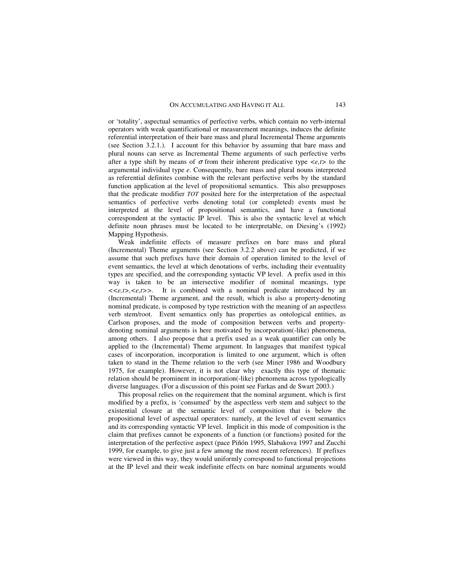or 'totality', aspectual semantics of perfective verbs, which contain no verb-internal operators with weak quantificational or measurement meanings, induces the definite referential interpretation of their bare mass and plural Incremental Theme arguments (see Section 3.2.1.). I account for this behavior by assuming that bare mass and plural nouns can serve as Incremental Theme arguments of such perfective verbs after a type shift by means of  $\sigma$  from their inherent predicative type  $\langle e, t \rangle$  to the argumental individual type *e*. Consequently, bare mass and plural nouns interpreted as referential definites combine with the relevant perfective verbs by the standard function application at the level of propositional semantics. This also presupposes that the predicate modifier *TOT* posited here for the interpretation of the aspectual semantics of perfective verbs denoting total (or completed) events must be interpreted at the level of propositional semantics, and have a functional correspondent at the syntactic IP level. This is also the syntactic level at which definite noun phrases must be located to be interpretable, on Diesing's (1992) Mapping Hypothesis.

Weak indefinite effects of measure prefixes on bare mass and plural (Incremental) Theme arguments (see Section 3.2.2 above) can be predicted, if we assume that such prefixes have their domain of operation limited to the level of event semantics, the level at which denotations of verbs, including their eventuality types are specified, and the corresponding syntactic VP level. A prefix used in this way is taken to be an intersective modifier of nominal meanings, type *<<e,t>,<e,t>>.* It is combined with a nominal predicate introduced by an (Incremental) Theme argument, and the result, which is also a property-denoting nominal predicate, is composed by type restriction with the meaning of an aspectless verb stem/root. Event semantics only has properties as ontological entities, as Carlson proposes, and the mode of composition between verbs and propertydenoting nominal arguments is here motivated by incorporation(-like) phenomena, among others. I also propose that a prefix used as a weak quantifier can only be applied to the (Incremental) Theme argument. In languages that manifest typical cases of incorporation, incorporation is limited to one argument, which is often taken to stand in the Theme relation to the verb (see Miner 1986 and Woodbury 1975, for example). However, it is not clear why exactly this type of thematic relation should be prominent in incorporation(-like) phenomena across typologically diverse languages. (For a discussion of this point see Farkas and de Swart 2003.)

This proposal relies on the requirement that the nominal argument, which is first modified by a prefix, is 'consumed' by the aspectless verb stem and subject to the existential closure at the semantic level of composition that is below the propositional level of aspectual operators: namely, at the level of event semantics and its corresponding syntactic VP level. Implicit in this mode of composition is the claim that prefixes cannot be exponents of a function (or functions) posited for the interpretation of the perfective aspect (pace Piñón 1995, Slabakova 1997 and Zucchi 1999, for example, to give just a few among the most recent references). If prefixes were viewed in this way, they would uniformly correspond to functional projections at the IP level and their weak indefinite effects on bare nominal arguments would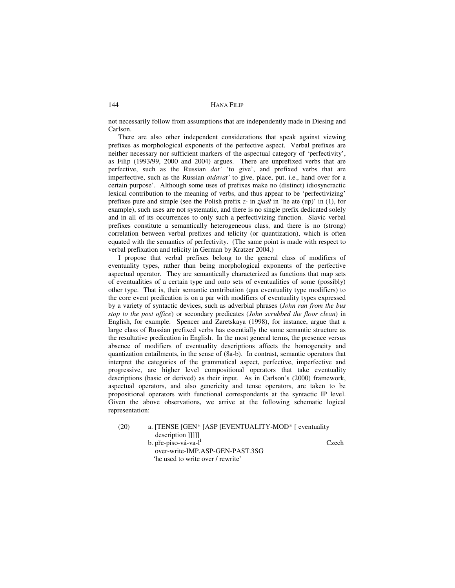not necessarily follow from assumptions that are independently made in Diesing and Carlson.

There are also other independent considerations that speak against viewing prefixes as morphological exponents of the perfective aspect. Verbal prefixes are neither necessary nor sufficient markers of the aspectual category of 'perfectivity', as Filip (1993/99, 2000 and 2004) argues. There are unprefixed verbs that are perfective, such as the Russian *dat'* 'to give', and prefixed verbs that are imperfective, such as the Russian *otdavat'* to give, place, put, i.e., hand over for a certain purpose'. Although some uses of prefixes make no (distinct) idiosyncractic lexical contribution to the meaning of verbs, and thus appear to be 'perfectivizing' prefixes pure and simple (see the Polish prefix *z-* in *zjadł* in 'he ate (up)' in (1), for example), such uses are not systematic, and there is no single prefix dedicated solely and in all of its occurrences to only such a perfectivizing function. Slavic verbal prefixes constitute a semantically heterogeneous class, and there is no (strong) correlation between verbal prefixes and telicity (or quantization), which is often equated with the semantics of perfectivity. (The same point is made with respect to verbal prefixation and telicity in German by Kratzer 2004.)

I propose that verbal prefixes belong to the general class of modifiers of eventuality types, rather than being morphological exponents of the perfective aspectual operator. They are semantically characterized as functions that map sets of eventualities of a certain type and onto sets of eventualities of some (possibly) other type. That is, their semantic contribution (qua eventuality type modifiers) to the core event predication is on a par with modifiers of eventuality types expressed by a variety of syntactic devices, such as adverbial phrases (*John ran from the bus stop to the post office*) or secondary predicates (*John scrubbed the floor clean*) in English, for example. Spencer and Zaretskaya (1998), for instance, argue that a large class of Russian prefixed verbs has essentially the same semantic structure as the resultative predication in English. In the most general terms, the presence versus absence of modifiers of eventuality descriptions affects the homogeneity and quantization entailments, in the sense of (8a-b). In contrast, semantic operators that interpret the categories of the grammatical aspect, perfective, imperfective and progressive, are higher level compositional operators that take eventuality descriptions (basic or derived) as their input. As in Carlson's (2000) framework, aspectual operators, and also genericity and tense operators, are taken to be propositional operators with functional correspondents at the syntactic IP level. Given the above observations, we arrive at the following schematic logical representation:

# (20) a. [TENSE [GEN\* [ASP [EVENTUALITY-MOD\* [ eventuality description ]]]]]

 $b.$  pře-piso-vá-va-l I Czech over-write-IMP.ASP-GEN-PAST.3SG 'he used to write over / rewrite'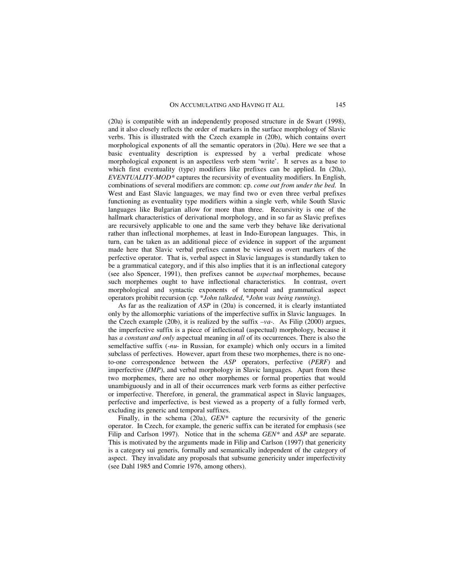(20a) is compatible with an independently proposed structure in de Swart (1998), and it also closely reflects the order of markers in the surface morphology of Slavic verbs. This is illustrated with the Czech example in (20b), which contains overt morphological exponents of all the semantic operators in (20a). Here we see that a basic eventuality description is expressed by a verbal predicate whose morphological exponent is an aspectless verb stem 'write'. It serves as a base to which first eventuality (type) modifiers like prefixes can be applied. In  $(20a)$ , *EVENTUALITY-MOD\** captures the recursivity of eventuality modifiers. In English, combinations of several modifiers are common: cp. *come out from under the bed*. In West and East Slavic languages, we may find two or even three verbal prefixes functioning as eventuality type modifiers within a single verb, while South Slavic languages like Bulgarian allow for more than three. Recursivity is one of the hallmark characteristics of derivational morphology, and in so far as Slavic prefixes are recursively applicable to one and the same verb they behave like derivational rather than inflectional morphemes, at least in Indo-European languages. This, in turn, can be taken as an additional piece of evidence in support of the argument made here that Slavic verbal prefixes cannot be viewed as overt markers of the perfective operator. That is, verbal aspect in Slavic languages is standardly taken to be a grammatical category, and if this also implies that it is an inflectional category (see also Spencer, 1991), then prefixes cannot be *aspectual* morphemes, because such morphemes ought to have inflectional characteristics. In contrast, overt morphological and syntactic exponents of temporal and grammatical aspect operators prohibit recursion (cp. \**John talkeded*, \**John was being running*).

As far as the realization of *ASP* in (20a) is concerned, it is clearly instantiated only by the allomorphic variations of the imperfective suffix in Slavic languages. In the Czech example (20b), it is realized by the suffix  $-va$ . As Filip (2000) argues, the imperfective suffix is a piece of inflectional (aspectual) morphology, because it has *a constant and only* aspectual meaning in *all* of its occurrences. There is also the semelfactive suffix (*-nu-* in Russian, for example) which only occurs in a limited subclass of perfectives. However, apart from these two morphemes, there is no oneto-one correspondence between the *ASP* operators, perfective (*PERF*) and imperfective (*IMP*), and verbal morphology in Slavic languages. Apart from these two morphemes, there are no other morphemes or formal properties that would unambiguously and in all of their occurrences mark verb forms as either perfective or imperfective. Therefore, in general, the grammatical aspect in Slavic languages, perfective and imperfective, is best viewed as a property of a fully formed verb, excluding its generic and temporal suffixes.

Finally, in the schema (20a), *GEN\** capture the recursivity of the generic operator. In Czech, for example, the generic suffix can be iterated for emphasis (see Filip and Carlson 1997). Notice that in the schema *GEN\** and *ASP* are separate. This is motivated by the arguments made in Filip and Carlson (1997) that genericity is a category sui generis, formally and semantically independent of the category of aspect. They invalidate any proposals that subsume genericity under imperfectivity (see Dahl 1985 and Comrie 1976, among others).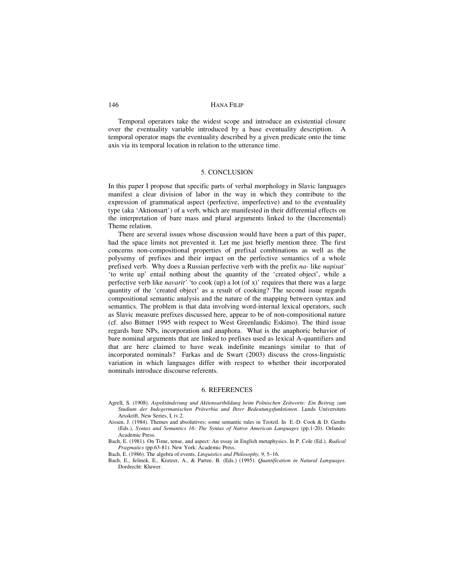Temporal operators take the widest scope and introduce an existential closure over the eventuality variable introduced by a base eventuality description. A temporal operator maps the eventuality described by a given predicate onto the time axis via its temporal location in relation to the utterance time.

## 5. CONCLUSION

In this paper I propose that specific parts of verbal morphology in Slavic languages manifest a clear division of labor in the way in which they contribute to the expression of grammatical aspect (perfective, imperfective) and to the eventuality type (aka 'Aktionsart') of a verb, which are manifested in their differential effects on the interpretation of bare mass and plural arguments linked to the (Incremental) Theme relation.

There are several issues whose discussion would have been a part of this paper, had the space limits not prevented it. Let me just briefly mention three. The first concerns non-compositional properties of prefixal combinations as well as the polysemy of prefixes and their impact on the perfective semantics of a whole prefixed verb. Why does a Russian perfective verb with the prefix *na-* like *napisat'* 'to write up' entail nothing about the quantity of the 'created object', while a perfective verb like *navarit'* 'to cook (up) a lot (of x)' requires that there was a large quantity of the 'created object' as a result of cooking? The second issue regards compositional semantic analysis and the nature of the mapping between syntax and semantics. The problem is that data involving word-internal lexical operators, such as Slavic measure prefixes discussed here, appear to be of non-compositional nature (cf. also Bittner 1995 with respect to West Greenlandic Eskimo). The third issue regards bare NPs, incorporation and anaphora. What is the anaphoric behavior of bare nominal arguments that are linked to prefixes used as lexical A-quantifiers and that are here claimed to have weak indefinite meanings similar to that of incorporated nominals? Farkas and de Swart (2003) discuss the cross-linguistic variation in which languages differ with respect to whether their incorporated nominals introduce discourse referents.

#### 6. REFERENCES

- Agrell, S. (1908). *Aspektänderung und Aktionsartbildung beim Polnischen Zeitworte: Ein Beitrag zum Studium der Indogermanischen Präverbia und Ihrer Bedeutungsfunktionen*. Lunds Universitets Arsskrift, New Series, I, iv.2.
- Aissen, J. (1984). Themes and absolutives: some semantic rules in Tzotzil. In E.-D. Cook & D. Gerdts (Eds.), *Syntax and Semantics 16: The Syntax of Native American Languages* (pp.1-20). Orlando: Academic Press.
- Bach, E. (1981). On Time, tense, and aspect: An essay in English metaphysics. In P. Cole (Ed.), *Radical Pragmatics* (pp.63-81). New York: Academic Press.

Bach, E. (1986). The algebra of events. *Linguistics and Philosophy, 9,* 5–16.

Bach, E., Jelinek, E., Kratzer, A., & Partee, B. (Eds.) (1995). *Quantification in Natural Languages*. Dordrecht: Kluwer.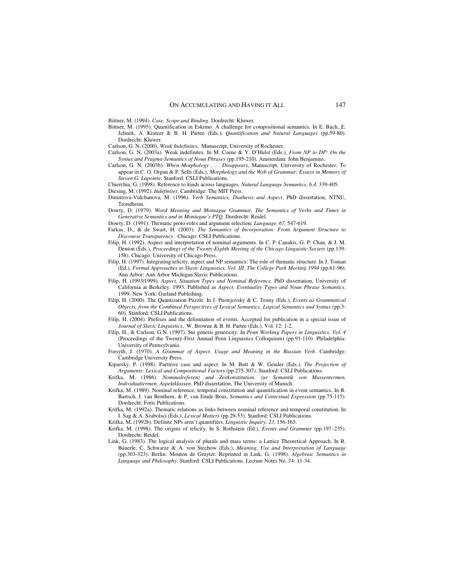Bittner, M. (1994). *Case, Scope and Binding*. Dordrecht: Kluwer.

Bittner, M. (1995). Quantification in Eskimo: A challenge for compositional semantics. In E. Bach, E. Jelinek, A. Kratzer & B. H. Partee (Eds.), *Quantification and Natural Languages* (pp.59-80). Dordrecht: Kluwer.

Carlson, G. N. (2000). *Weak Indefinites*, Manuscript, University of Rochester.

- Carlson, G. N. (2003a). Weak indefinites. In M. Coene & Y. D'Hulst (Eds.), *From NP to DP: On the Syntax and Pragma-Semantics of Noun Phrases* (pp.195-210). Amsterdam: John Benjamins.
- Carlson, G. N. (2003b). *When Morphology . . . Disappears*, Manuscript, University of Rochester. To appear in C. O. Orgun & P. Sells (Eds.), *Morphology and the Web of Grammar: Essays in Memory of Steven G. Lapointe*. Stanford: CSLI Publications.
- Chierchia, G. (1998). Reference to kinds across languages. *Natural Language Semantics*, *6.4*, 339-405.
- Diesing, M. (1992). *Indefinites*. Cambridge: The MIT Press. Dimitrova-Vulchanova, M. (1996). *Verb Semantics, Diathesis and Aspect*. PhD dissertation, NTNU, Trondheim.
- Dowty, D. (1979). *Word Meaning and Montague Grammar. The Semantics of Verbs and Times in Generative Semantics and in Montague's PTQ*. Dordrecht: Reidel.
- Dowty, D. (1991). Thematic proto-roles and argument selection. *Language, 67,* 547-619.
- Farkas, D., & de Swart, H. (2003). *The Semantics of Incorporation*: *From Argument Structure to Discourse Transparency*. Chicago: CSLI Publications.
- Filip, H. (1992). Aspect and interpretation of nominal arguments. In C. P. Canakis, G. P. Chan, & J. M. Denton (Eds.), *Proceedings of the Twenty-Eighth Meeting of the Chicago Linguistic Society* (pp.139- 158). Chicago: University of Chicago Press.
- Filip, H. (1997). Integrating telicity, aspect and NP semantics: The role of thematic structure. In J. Toman (Ed.), *Formal Approaches to Slavic Linguistics, Vol. III. The College Park Meeting 1994* (pp.61-96). Ann Arbor: Ann Arbor Michigan Slavic Publications.
- Filip, H. (1993/1999). *Aspect, Situation Types and Nominal Reference*. PhD dissertation, University of California at Berkeley. 1993. Published as *Aspect, Eventuality Types and Noun Phrase Semantics*. 1999. New York: Garland Publishing.
- Filip, H. (2000). The Quantization Puzzle. In J. Pustejovsky & C. Tenny (Eds.), *Events as Grammatical Objects, from the Combined Perspectives of Lexical Semantics, Logical Semantics and Syntax* (pp.3- 60)*.* Stanford: CSLI Publications.
- Filip, H. (2004). Prefixes and the delimitation of events. Accepted for publication in a special issue of *Journal of Slavic Linguistics*, W. Browne & B. H. Partee (Eds.). Vol. 12: 1-2.
- Filip, H., & Carlson, G.N. (1997). Sui generis genericity. In *Penn Working Papers in Linguistics, Vol. 4* (Proceedings of the Twenty-First Annual Penn Linguistics Colloquium) (pp.91-110). Philadelphia: University of Pennsylvania.
- Forsyth, J. (1970). *A Grammar of Aspect. Usage and Meaning in the Russian Verb*. Cambridge: Cambridge University Press.
- Kiparsky, P. (1998). Partitive case and aspect. In M. Butt & W. Geuder (Eds.), *The Projection of Arguments: Lexical and Compositional Factors* (pp.275-307). Stanford: CSLI Publications.
- Krifka, M. (1986). *Nominalreferenz und Zeitkonstitution. zur Semantik von Massentermen, Individualtermen, Aspektklassen*. PhD dissertation, The University of Munich.
- Krifka, M. (1989). Nominal reference, temporal constitution and quantification in event semantics. In R. Bartsch, J. van Benthem, & P. van Emde Boas, *Semantics and Contextual Expression* (pp.75-115). Dordrecht: Foris Publications.
- Krifka, M. (1992a). Thematic relations as links between nominal reference and temporal constitution. In I. Sag & A. Szabolsci (Eds.), *Lexical Matters* (pp.29-53). Stanford: CSLI Publications.
- Krifka, M. (1992b). Definite NPs aren't quantifiers. *Linguistic Inquiry, 23,* 156-163.
- Krifka, M. (1998). The origins of telicity. In S. Rothstein (Ed.), *Events and Grammar* (pp.197–235). Dordrecht: Reidel.
- Link, G. (1983). The logical analysis of plurals and mass terms: a Lattice Theoretical Approach. In R. Bäuerle, C. Schwarze & A. von Stechow (Eds.), *Meaning, Use and Interpretation of Language* (pp.303-323). Berlin: Mouton de Gruyter. Reprinted in Link, G. (1998). *Algebraic Semantics in Language and Philosophy*. Stanford: CSLI Publications. Lecture Notes No. 74: 11-34.